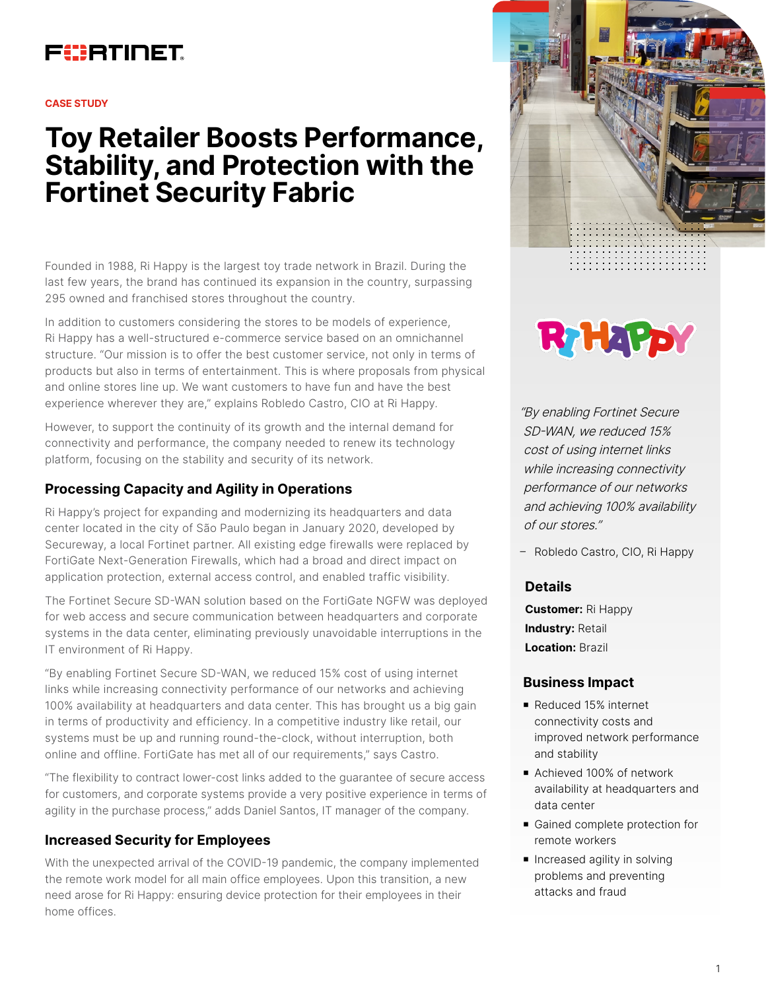# FURTINET

#### **CASE STUDY**

# **Toy Retailer Boosts Performance, Stability, and Protection with the Fortinet Security Fabric**

Founded in 1988, Ri Happy is the largest toy trade network in Brazil. During the last few years, the brand has continued its expansion in the country, surpassing 295 owned and franchised stores throughout the country.

In addition to customers considering the stores to be models of experience, Ri Happy has a well-structured e-commerce service based on an omnichannel structure. "Our mission is to offer the best customer service, not only in terms of products but also in terms of entertainment. This is where proposals from physical and online stores line up. We want customers to have fun and have the best experience wherever they are," explains Robledo Castro, CIO at Ri Happy.

However, to support the continuity of its growth and the internal demand for connectivity and performance, the company needed to renew its technology platform, focusing on the stability and security of its network.

# **Processing Capacity and Agility in Operations**

Ri Happy's project for expanding and modernizing its headquarters and data center located in the city of São Paulo began in January 2020, developed by Secureway, a local Fortinet partner. All existing edge firewalls were replaced by FortiGate Next-Generation Firewalls, which had a broad and direct impact on application protection, external access control, and enabled traffic visibility.

The Fortinet Secure SD-WAN solution based on the FortiGate NGFW was deployed for web access and secure communication between headquarters and corporate systems in the data center, eliminating previously unavoidable interruptions in the IT environment of Ri Happy.

"By enabling Fortinet Secure SD-WAN, we reduced 15% cost of using internet links while increasing connectivity performance of our networks and achieving 100% availability at headquarters and data center. This has brought us a big gain in terms of productivity and efficiency. In a competitive industry like retail, our systems must be up and running round-the-clock, without interruption, both online and offline. FortiGate has met all of our requirements," says Castro.

"The flexibility to contract lower-cost links added to the guarantee of secure access for customers, and corporate systems provide a very positive experience in terms of agility in the purchase process," adds Daniel Santos, IT manager of the company.

#### **Increased Security for Employees**

With the unexpected arrival of the COVID-19 pandemic, the company implemented the remote work model for all main office employees. Upon this transition, a new need arose for Ri Happy: ensuring device protection for their employees in their home offices.





"By enabling Fortinet Secure SD-WAN, we reduced 15% cost of using internet links while increasing connectivity performance of our networks and achieving 100% availability of our stores."

– Robledo Castro, CIO, Ri Happy

#### **Details**

**Customer:** Ri Happy **Industry:** Retail **Location:** Brazil

#### **Business Impact**

- Reduced 15% internet connectivity costs and improved network performance and stability
- Achieved 100% of network availability at headquarters and data center
- Gained complete protection for remote workers
- **n** Increased agility in solving problems and preventing attacks and fraud